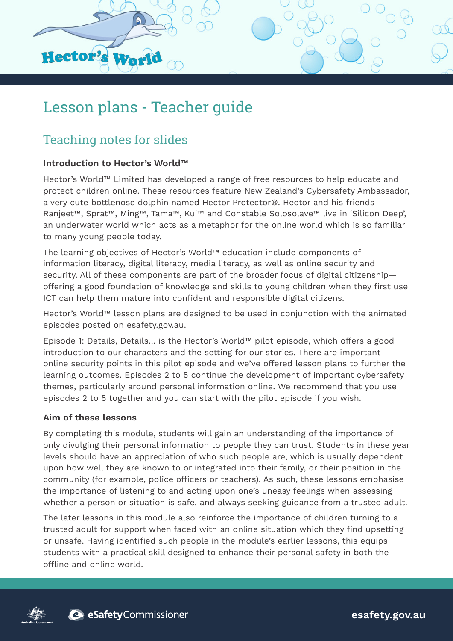

# Lesson plans - Teacher guide

# Teaching notes for slides

### **Introduction to Hector's World™**

Hector's World™ Limited has developed a range of free resources to help educate and protect children online. These resources feature New Zealand's Cybersafety Ambassador, a very cute bottlenose dolphin named Hector Protector®. Hector and his friends Ranjeet™, Sprat™, Ming™, Tama™, Kui™ and Constable Solosolave™ live in 'Silicon Deep', an underwater world which acts as a metaphor for the online world which is so familiar to many young people today.

The learning objectives of Hector's World™ education include components of information literacy, digital literacy, media literacy, as well as online security and security. All of these components are part of the broader focus of digital citizenship offering a good foundation of knowledge and skills to young children when they first use ICT can help them mature into confident and responsible digital citizens.

Hector's World™ lesson plans are designed to be used in conjunction with the animated episodes posted on [esafety.gov.au.](http://www.esafety.gov.au)

Episode 1: Details, Details… is the Hector's World™ pilot episode, which offers a good introduction to our characters and the setting for our stories. There are important online security points in this pilot episode and we've offered lesson plans to further the learning outcomes. Episodes 2 to 5 continue the development of important cybersafety themes, particularly around personal information online. We recommend that you use episodes 2 to 5 together and you can start with the pilot episode if you wish.

#### **Aim of these lessons**

By completing this module, students will gain an understanding of the importance of only divulging their personal information to people they can trust. Students in these year levels should have an appreciation of who such people are, which is usually dependent upon how well they are known to or integrated into their family, or their position in the community (for example, police officers or teachers). As such, these lessons emphasise the importance of listening to and acting upon one's uneasy feelings when assessing whether a person or situation is safe, and always seeking guidance from a trusted adult.

The later lessons in this module also reinforce the importance of children turning to a trusted adult for support when faced with an online situation which they find upsetting or unsafe. Having identified such people in the module's earlier lessons, this equips students with a practical skill designed to enhance their personal safety in both the offline and online world.





**esafety.gov.au**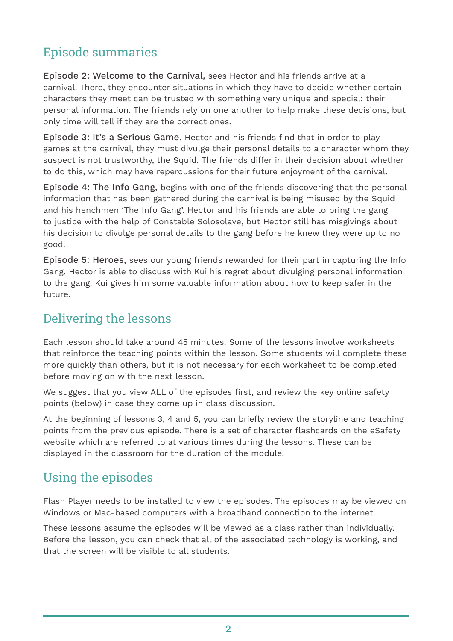### Episode summaries

Episode 2: Welcome to the Carnival, sees Hector and his friends arrive at a carnival. There, they encounter situations in which they have to decide whether certain characters they meet can be trusted with something very unique and special: their personal information. The friends rely on one another to help make these decisions, but only time will tell if they are the correct ones.

Episode 3: It's a Serious Game. Hector and his friends find that in order to play games at the carnival, they must divulge their personal details to a character whom they suspect is not trustworthy, the Squid. The friends differ in their decision about whether to do this, which may have repercussions for their future enjoyment of the carnival.

Episode 4: The Info Gang, begins with one of the friends discovering that the personal information that has been gathered during the carnival is being misused by the Squid and his henchmen 'The Info Gang'. Hector and his friends are able to bring the gang to justice with the help of Constable Solosolave, but Hector still has misgivings about his decision to divulge personal details to the gang before he knew they were up to no good.

Episode 5: Heroes, sees our young friends rewarded for their part in capturing the Info Gang. Hector is able to discuss with Kui his regret about divulging personal information to the gang. Kui gives him some valuable information about how to keep safer in the future.

### Delivering the lessons

Each lesson should take around 45 minutes. Some of the lessons involve worksheets that reinforce the teaching points within the lesson. Some students will complete these more quickly than others, but it is not necessary for each worksheet to be completed before moving on with the next lesson.

We suggest that you view ALL of the episodes first, and review the key online safety points (below) in case they come up in class discussion.

At the beginning of lessons 3, 4 and 5, you can briefly review the storyline and teaching points from the previous episode. There is a set of character flashcards on the eSafety website which are referred to at various times during the lessons. These can be displayed in the classroom for the duration of the module.

### Using the episodes

Flash Player needs to be installed to view the episodes. The episodes may be viewed on Windows or Mac-based computers with a broadband connection to the internet.

These lessons assume the episodes will be viewed as a class rather than individually. Before the lesson, you can check that all of the associated technology is working, and that the screen will be visible to all students.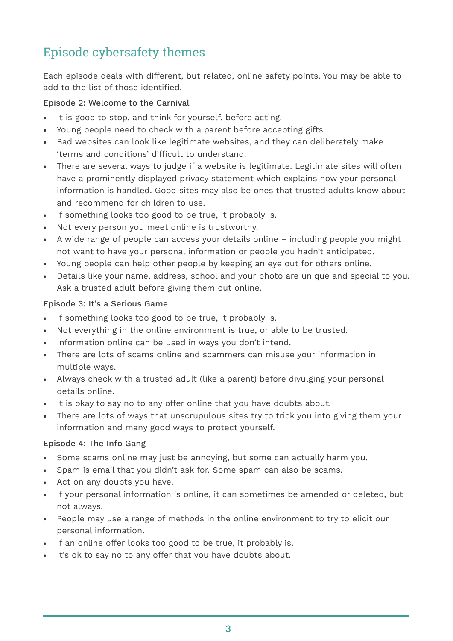## Episode cybersafety themes

Each episode deals with different, but related, online safety points. You may be able to add to the list of those identified.

Episode 2: Welcome to the Carnival

- It is good to stop, and think for yourself, before acting.
- Young people need to check with a parent before accepting gifts.
- Bad websites can look like legitimate websites, and they can deliberately make 'terms and conditions' difficult to understand.
- There are several ways to judge if a website is legitimate. Legitimate sites will often have a prominently displayed privacy statement which explains how your personal information is handled. Good sites may also be ones that trusted adults know about and recommend for children to use.
- If something looks too good to be true, it probably is.
- Not every person you meet online is trustworthy.
- A wide range of people can access your details online including people you might not want to have your personal information or people you hadn't anticipated.
- Young people can help other people by keeping an eye out for others online.
- Details like your name, address, school and your photo are unique and special to you. Ask a trusted adult before giving them out online.

### Episode 3: It's a Serious Game

- If something looks too good to be true, it probably is.
- Not everything in the online environment is true, or able to be trusted.
- Information online can be used in ways you don't intend.
- There are lots of scams online and scammers can misuse your information in multiple ways.
- Always check with a trusted adult (like a parent) before divulging your personal details online.
- It is okay to say no to any offer online that you have doubts about.
- There are lots of ways that unscrupulous sites try to trick you into giving them your information and many good ways to protect yourself.

#### Episode 4: The Info Gang

- Some scams online may just be annoying, but some can actually harm you.
- Spam is email that you didn't ask for. Some spam can also be scams.
- Act on any doubts you have.
- If your personal information is online, it can sometimes be amended or deleted, but not always.
- People may use a range of methods in the online environment to try to elicit our personal information.
- If an online offer looks too good to be true, it probably is.
- It's ok to say no to any offer that you have doubts about.